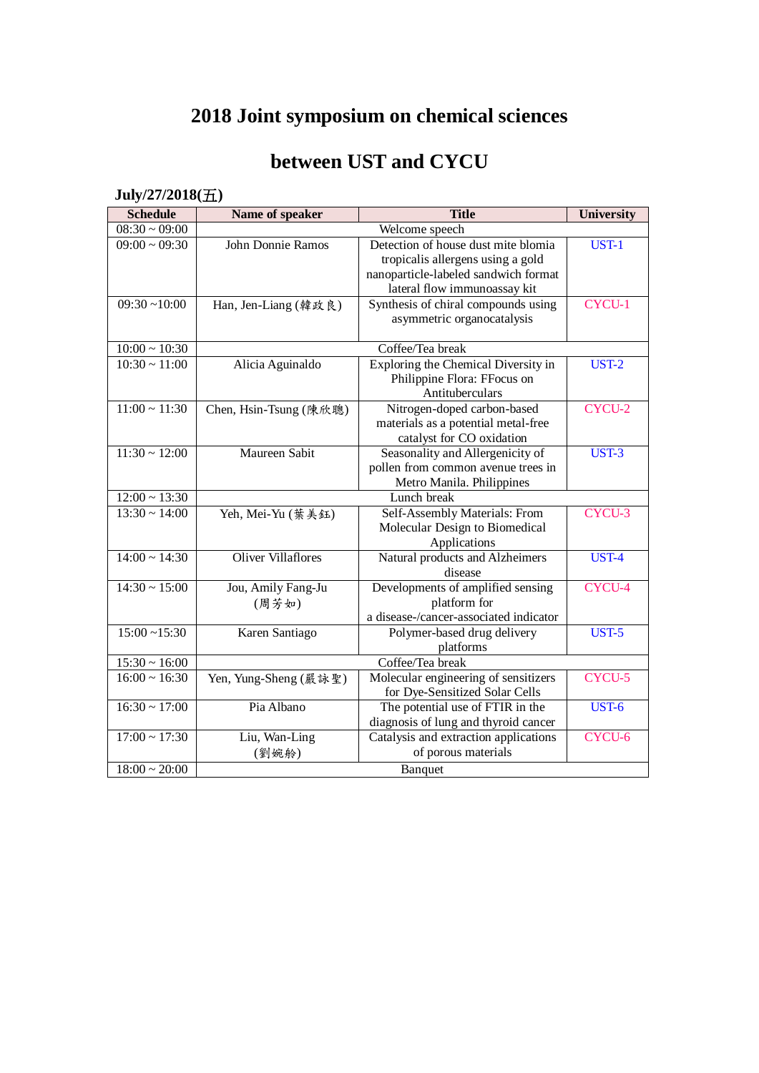# **2018 Joint symposium on chemical sciences**

### **between UST and CYCU**

#### **July/27/2018(**五**)**

| <b>Schedule</b>                          | Name of speaker           | <b>Title</b>                                   | <b>University</b> |
|------------------------------------------|---------------------------|------------------------------------------------|-------------------|
| $08:30 \sim 09:00$                       |                           | Welcome speech                                 |                   |
| $09:00 \sim 09:30$                       | <b>John Donnie Ramos</b>  | Detection of house dust mite blomia            | UST-1             |
|                                          |                           | tropicalis allergens using a gold              |                   |
|                                          |                           | nanoparticle-labeled sandwich format           |                   |
|                                          |                           | lateral flow immunoassay kit                   |                   |
| $09:30 - 10:00$                          | Han, Jen-Liang (韓政良)      | Synthesis of chiral compounds using            | CYCU-1            |
|                                          |                           | asymmetric organocatalysis                     |                   |
|                                          |                           |                                                |                   |
| $10:00\sim10:30$                         |                           | Coffee/Tea break                               |                   |
| $10:30 \sim 11:00$                       | Alicia Aguinaldo          | Exploring the Chemical Diversity in            | <b>UST-2</b>      |
|                                          |                           | Philippine Flora: FFocus on                    |                   |
|                                          |                           | Antituberculars                                |                   |
| $11:00 \sim 11:30$                       | Chen, Hsin-Tsung (陳欣聰)    | Nitrogen-doped carbon-based                    | CYCU-2            |
|                                          |                           | materials as a potential metal-free            |                   |
| $11:30 \sim 12:00$                       | Maureen Sabit             | catalyst for CO oxidation                      |                   |
|                                          |                           | Seasonality and Allergenicity of               | <b>UST-3</b>      |
|                                          |                           | pollen from common avenue trees in             |                   |
|                                          |                           | Metro Manila. Philippines                      |                   |
| $12:00 \sim 13:30$<br>$13:30 \sim 14:00$ |                           | Lunch break                                    | CYCU-3            |
|                                          | Yeh, Mei-Yu (葉美鈺)         | Self-Assembly Materials: From                  |                   |
|                                          |                           | Molecular Design to Biomedical<br>Applications |                   |
| $14:00 \sim 14:30$                       | <b>Oliver Villaflores</b> | Natural products and Alzheimers                | UST-4             |
|                                          |                           | disease                                        |                   |
| $14:30 \sim 15:00$                       | Jou, Amily Fang-Ju        | Developments of amplified sensing              | CYCU-4            |
|                                          | (周芳如)                     | platform for                                   |                   |
|                                          |                           | a disease-/cancer-associated indicator         |                   |
| $15:00 - 15:30$                          | Karen Santiago            | Polymer-based drug delivery                    | <b>UST-5</b>      |
|                                          |                           | platforms                                      |                   |
| $15:30 \sim 16:00$                       | Coffee/Tea break          |                                                |                   |
| $16:00 \sim 16:30$                       | Yen, Yung-Sheng (嚴詠聖)     | Molecular engineering of sensitizers           | CYCU-5            |
|                                          |                           | for Dye-Sensitized Solar Cells                 |                   |
| $16:30 \sim 17:00$                       | Pia Albano                | The potential use of FTIR in the               | <b>UST-6</b>      |
|                                          |                           | diagnosis of lung and thyroid cancer           |                   |
| $17:00 \sim 17:30$                       | Liu, Wan-Ling             | Catalysis and extraction applications          | CYCU-6            |
|                                          | (劉婉舲)                     | of porous materials                            |                   |
| $18:00 \sim 20:00$                       |                           | Banquet                                        |                   |